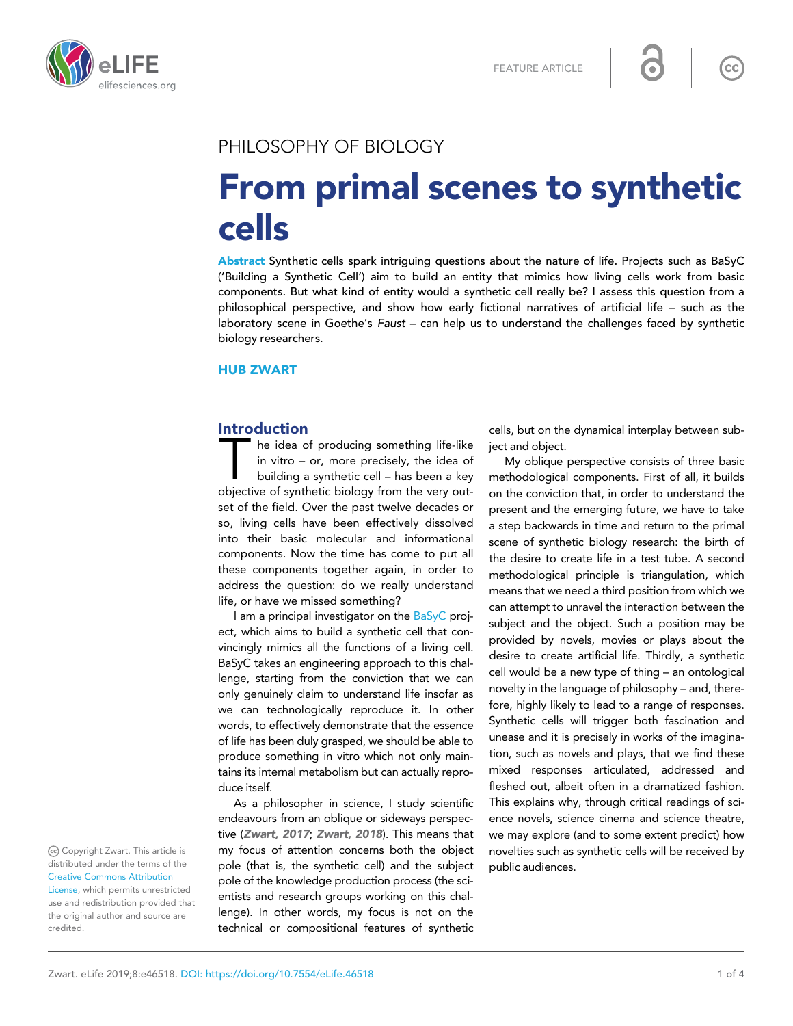

# PHILOSOPHY OF BIOLOGY

# From primal scenes to synthetic cells

Abstract Synthetic cells spark intriguing questions about the nature of life. Projects such as BaSyC ('Building a Synthetic Cell') aim to build an entity that mimics how living cells work from basic components. But what kind of entity would a synthetic cell really be? I assess this question from a philosophical perspective, and show how early fictional narratives of artificial life – such as the laboratory scene in Goethe's Faust – can help us to understand the challenges faced by synthetic biology researchers.

### HUB ZWART

#### Introduction

The idea of producing something life-like<br>in vitro – or, more precisely, the idea of<br>building a synthetic cell – has been a key<br>objective of synthetic biology from the very outhe idea of producing something life-like in vitro – or, more precisely, the idea of building a synthetic cell – has been a key set of the field. Over the past twelve decades or so, living cells have been effectively dissolved into their basic molecular and informational components. Now the time has come to put all these components together again, in order to address the question: do we really understand life, or have we missed something?

I am a principal investigator on the [BaSyC](http://www.basyc.nl) project, which aims to build a synthetic cell that convincingly mimics all the functions of a living cell. BaSyC takes an engineering approach to this challenge, starting from the conviction that we can only genuinely claim to understand life insofar as we can technologically reproduce it. In other words, to effectively demonstrate that the essence of life has been duly grasped, we should be able to produce something in vitro which not only maintains its internal metabolism but can actually reproduce itself.

As a philosopher in science, I study scientific endeavours from an oblique or sideways perspective ([Zwart, 2017](#page-3-0); [Zwart, 2018](#page-3-0)). This means that my focus of attention concerns both the object pole (that is, the synthetic cell) and the subject pole of the knowledge production process (the scientists and research groups working on this challenge). In other words, my focus is not on the technical or compositional features of synthetic

cells, but on the dynamical interplay between subject and object.

My oblique perspective consists of three basic methodological components. First of all, it builds on the conviction that, in order to understand the present and the emerging future, we have to take a step backwards in time and return to the primal scene of synthetic biology research: the birth of the desire to create life in a test tube. A second methodological principle is triangulation, which means that we need a third position from which we can attempt to unravel the interaction between the subject and the object. Such a position may be provided by novels, movies or plays about the desire to create artificial life. Thirdly, a synthetic cell would be a new type of thing – an ontological novelty in the language of philosophy – and, therefore, highly likely to lead to a range of responses. Synthetic cells will trigger both fascination and unease and it is precisely in works of the imagination, such as novels and plays, that we find these mixed responses articulated, addressed and fleshed out, albeit often in a dramatized fashion. This explains why, through critical readings of science novels, science cinema and science theatre, we may explore (and to some extent predict) how novelties such as synthetic cells will be received by public audiences.

Copyright Zwart. This article is distributed under the terms of the [Creative Commons Attribution](http://creativecommons.org/licenses/by/4.0/)

[License](http://creativecommons.org/licenses/by/4.0/), which permits unrestricted use and redistribution provided that the original author and source are credited.

 $cc$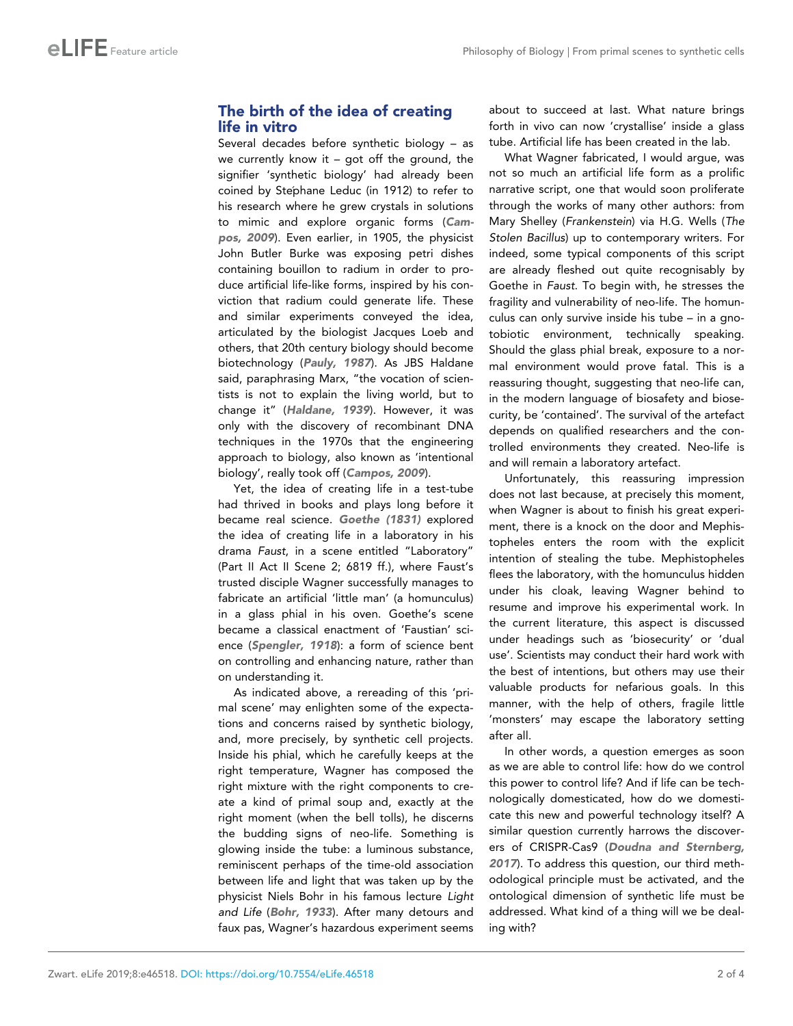## The birth of the idea of creating life in vitro

Several decades before synthetic biology – as we currently know it  $-$  got off the ground, the signifier 'synthetic biology' had already been coined by Stephane Leduc (in 1912) to refer to his research where he grew crystals in solutions to mimic and explore organic forms ([Cam](#page-2-0)[pos, 2009](#page-2-0)). Even earlier, in 1905, the physicist John Butler Burke was exposing petri dishes containing bouillon to radium in order to produce artificial life-like forms, inspired by his conviction that radium could generate life. These and similar experiments conveyed the idea, articulated by the biologist Jacques Loeb and others, that 20th century biology should become biotechnology ([Pauly, 1987](#page-2-0)). As JBS Haldane said, paraphrasing Marx, "the vocation of scientists is not to explain the living world, but to change it" ([Haldane, 1939](#page-2-0)). However, it was only with the discovery of recombinant DNA techniques in the 1970s that the engineering approach to biology, also known as 'intentional biology', really took off ([Campos, 2009](#page-2-0)).

Yet, the idea of creating life in a test-tube had thrived in books and plays long before it became real science. [Goethe \(1831\)](#page-2-0) explored the idea of creating life in a laboratory in his drama Faust, in a scene entitled "Laboratory" (Part II Act II Scene 2; 6819 ff.), where Faust's trusted disciple Wagner successfully manages to fabricate an artificial 'little man' (a homunculus) in a glass phial in his oven. Goethe's scene became a classical enactment of 'Faustian' science ([Spengler, 1918](#page-2-0)): a form of science bent on controlling and enhancing nature, rather than on understanding it.

As indicated above, a rereading of this 'primal scene' may enlighten some of the expectations and concerns raised by synthetic biology, and, more precisely, by synthetic cell projects. Inside his phial, which he carefully keeps at the right temperature, Wagner has composed the right mixture with the right components to create a kind of primal soup and, exactly at the right moment (when the bell tolls), he discerns the budding signs of neo-life. Something is glowing inside the tube: a luminous substance, reminiscent perhaps of the time-old association between life and light that was taken up by the physicist Niels Bohr in his famous lecture Light and Life ([Bohr, 1933](#page-2-0)). After many detours and faux pas, Wagner's hazardous experiment seems

about to succeed at last. What nature brings forth in vivo can now 'crystallise' inside a glass tube. Artificial life has been created in the lab.

What Wagner fabricated, I would argue, was not so much an artificial life form as a prolific narrative script, one that would soon proliferate through the works of many other authors: from Mary Shelley (Frankenstein) via H.G. Wells (The Stolen Bacillus) up to contemporary writers. For indeed, some typical components of this script are already fleshed out quite recognisably by Goethe in Faust. To begin with, he stresses the fragility and vulnerability of neo-life. The homunculus can only survive inside his tube – in a gnotobiotic environment, technically speaking. Should the glass phial break, exposure to a normal environment would prove fatal. This is a reassuring thought, suggesting that neo-life can, in the modern language of biosafety and biosecurity, be 'contained'. The survival of the artefact depends on qualified researchers and the controlled environments they created. Neo-life is and will remain a laboratory artefact.

Unfortunately, this reassuring impression does not last because, at precisely this moment, when Wagner is about to finish his great experiment, there is a knock on the door and Mephistopheles enters the room with the explicit intention of stealing the tube. Mephistopheles flees the laboratory, with the homunculus hidden under his cloak, leaving Wagner behind to resume and improve his experimental work. In the current literature, this aspect is discussed under headings such as 'biosecurity' or 'dual use'. Scientists may conduct their hard work with the best of intentions, but others may use their valuable products for nefarious goals. In this manner, with the help of others, fragile little 'monsters' may escape the laboratory setting after all.

In other words, a question emerges as soon as we are able to control life: how do we control this power to control life? And if life can be technologically domesticated, how do we domesticate this new and powerful technology itself? A similar question currently harrows the discoverers of CRISPR-Cas9 ([Doudna and Sternberg,](#page-2-0) [2017](#page-2-0)). To address this question, our third methodological principle must be activated, and the ontological dimension of synthetic life must be addressed. What kind of a thing will we be dealing with?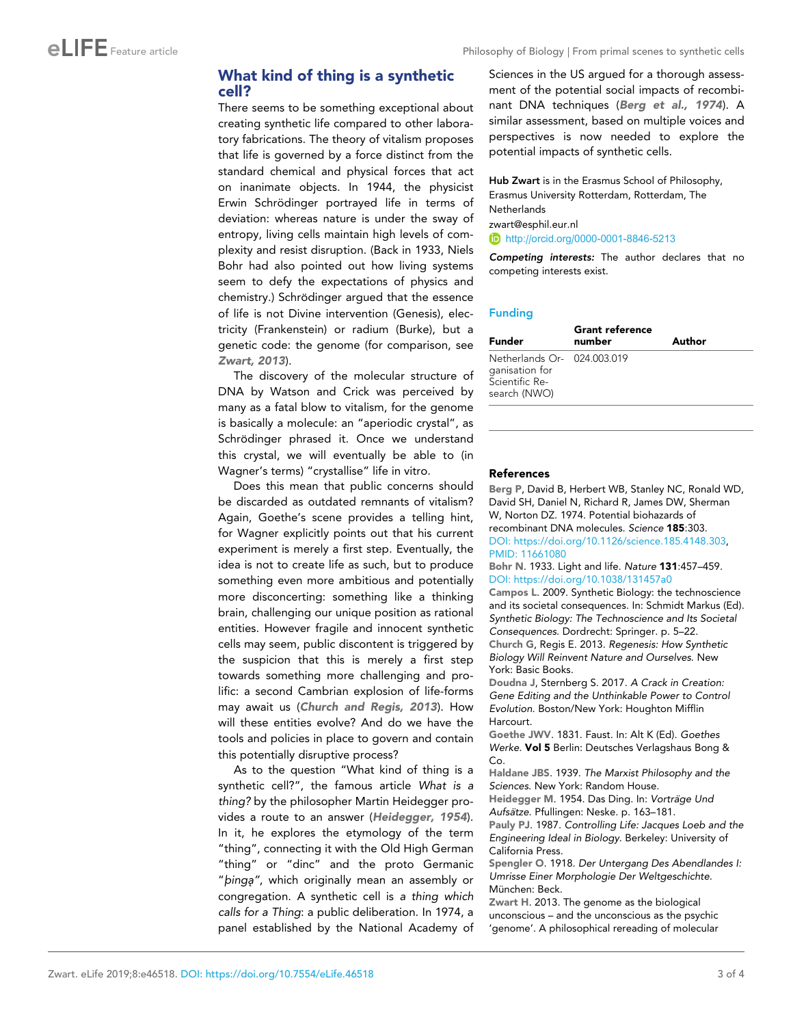## <span id="page-2-0"></span>What kind of thing is a synthetic cell?

There seems to be something exceptional about creating synthetic life compared to other laboratory fabrications. The theory of vitalism proposes that life is governed by a force distinct from the standard chemical and physical forces that act on inanimate objects. In 1944, the physicist Erwin Schrödinger portrayed life in terms of deviation: whereas nature is under the sway of entropy, living cells maintain high levels of complexity and resist disruption. (Back in 1933, Niels Bohr had also pointed out how living systems seem to defy the expectations of physics and chemistry.) Schrödinger argued that the essence of life is not Divine intervention (Genesis), electricity (Frankenstein) or radium (Burke), but a genetic code: the genome (for comparison, see Zwart, 2013).

The discovery of the molecular structure of DNA by Watson and Crick was perceived by many as a fatal blow to vitalism, for the genome is basically a molecule: an "aperiodic crystal", as Schrödinger phrased it. Once we understand this crystal, we will eventually be able to (in Wagner's terms) "crystallise" life in vitro.

Does this mean that public concerns should be discarded as outdated remnants of vitalism? Again, Goethe's scene provides a telling hint, for Wagner explicitly points out that his current experiment is merely a first step. Eventually, the idea is not to create life as such, but to produce something even more ambitious and potentially more disconcerting: something like a thinking brain, challenging our unique position as rational entities. However fragile and innocent synthetic cells may seem, public discontent is triggered by the suspicion that this is merely a first step towards something more challenging and prolific: a second Cambrian explosion of life-forms may await us (Church and Regis, 2013). How will these entities evolve? And do we have the tools and policies in place to govern and contain this potentially disruptive process?

As to the question "What kind of thing is a synthetic cell?", the famous article What is a thing? by the philosopher Martin Heidegger provides a route to an answer (Heidegger, 1954). In it, he explores the etymology of the term "thing", connecting it with the Old High German "thing" or "dinc" and the proto Germanic "binga", which originally mean an assembly or congregation. A synthetic cell is a thing which calls for a Thing: a public deliberation. In 1974, a panel established by the National Academy of Sciences in the US argued for a thorough assessment of the potential social impacts of recombinant DNA techniques (Berg et al., 1974). A similar assessment, based on multiple voices and perspectives is now needed to explore the potential impacts of synthetic cells.

Hub Zwart is in the Erasmus School of Philosophy, Erasmus University Rotterdam, Rotterdam, The **Netherlands** 

zwart@esphil.eur.nl

<http://orcid.org/0000-0001-8846-5213>

Competing interests: The author declares that no competing interests exist.

#### Funding

| Funder                                                                          | <b>Grant reference</b><br>number | Author |
|---------------------------------------------------------------------------------|----------------------------------|--------|
| Netherlands Or- 024.003.019<br>ganisation for<br>Scientific Re-<br>search (NWO) |                                  |        |

#### References

Berg P, David B, Herbert WB, Stanley NC, Ronald WD, David SH, Daniel N, Richard R, James DW, Sherman W, Norton DZ. 1974. Potential biohazards of recombinant DNA molecules. Science 185:303. DOI: [https://doi.org/10.1126/science.185.4148.303,](https://doi.org/10.1126/science.185.4148.303) PMID: [11661080](http://www.ncbi.nlm.nih.gov/pubmed/11661080)

Bohr N. 1933. Light and life. Nature 131:457–459. DOI:<https://doi.org/10.1038/131457a0>

Campos L. 2009. Synthetic Biology: the technoscience and its societal consequences. In: Schmidt Markus (Ed). Synthetic Biology: The Technoscience and Its Societal Consequences. Dordrecht: Springer. p. 5–22. Church G, Regis E. 2013. Regenesis: How Synthetic Biology Will Reinvent Nature and Ourselves. New York: Basic Books.

Doudna J, Sternberg S. 2017. A Crack in Creation: Gene Editing and the Unthinkable Power to Control Evolution. Boston/New York: Houghton Mifflin Harcourt.

Goethe JWV. 1831. Faust. In: Alt K (Ed). Goethes Werke. Vol 5 Berlin: Deutsches Verlagshaus Bong &  $Co$ 

Haldane JBS. 1939. The Marxist Philosophy and the Sciences. New York: Random House.

Heidegger M. 1954. Das Ding. In: Vorträge Und Aufsätze. Pfullingen: Neske. p. 163-181.

Pauly PJ. 1987. Controlling Life: Jacques Loeb and the Engineering Ideal in Biology. Berkeley: University of California Press.

Spengler O. 1918. Der Untergang Des Abendlandes I: Umrisse Einer Morphologie Der Weltgeschichte. München: Beck.

Zwart H. 2013. The genome as the biological unconscious – and the unconscious as the psychic 'genome'. A philosophical rereading of molecular